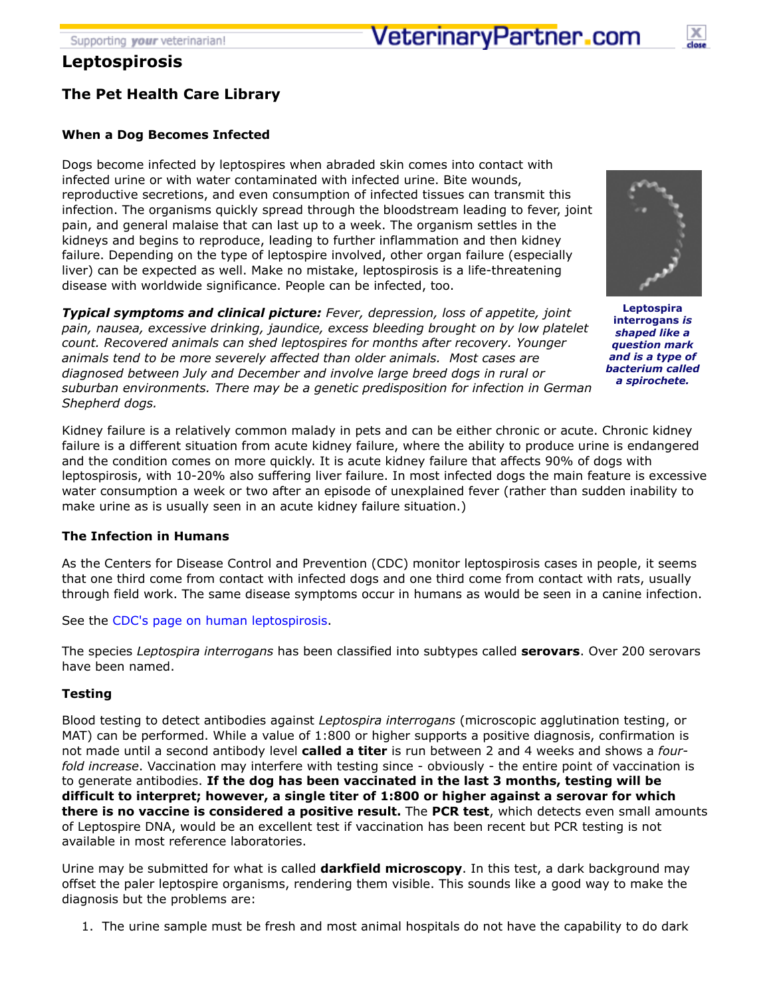# **Leptospirosis**

# **The Pet Health Care Library**

# **When a Dog Becomes Infected**

Dogs become infected by leptospires when abraded skin comes into contact with infected urine or with water contaminated with infected urine. Bite wounds, reproductive secretions, and even consumption of infected tissues can transmit this infection. The organisms quickly spread through the bloodstream leading to fever, joint pain, and general malaise that can last up to a week. The organism settles in the kidneys and begins to reproduce, leading to further inflammation and then kidney failure. Depending on the type of leptospire involved, other organ failure (especially liver) can be expected as well. Make no mistake, leptospirosis is a life-threatening disease with worldwide significance. People can be infected, too.

*Typical symptoms and clinical picture: Fever, depression, loss of appetite, joint pain, nausea, excessive drinking, jaundice, excess bleeding brought on by low platelet count. Recovered animals can shed leptospires for months after recovery. Younger animals tend to be more severely affected than older animals. Most cases are diagnosed between July and December and involve large breed dogs in rural or suburban environments. There may be a genetic predisposition for infection in German Shepherd dogs.*

Kidney failure is a relatively common malady in pets and can be either chronic or acute. Chronic kidney failure is a different situation from acute kidney failure, where the ability to produce urine is endangered and the condition comes on more quickly. It is acute kidney failure that affects 90% of dogs with leptospirosis, with 10-20% also suffering liver failure. In most infected dogs the main feature is excessive water consumption a week or two after an episode of unexplained fever (rather than sudden inability to make urine as is usually seen in an acute kidney failure situation.)

# **The Infection in Humans**

As the Centers for Disease Control and Prevention (CDC) monitor leptospirosis cases in people, it seems that one third come from contact with infected dogs and one third come from contact with rats, usually through field work. The same disease symptoms occur in humans as would be seen in a canine infection.

See the [CDC's page on human leptospirosis](http://www.cdc.gov/leptospirosis/index.html).

The species *Leptospira interrogans* has been classified into subtypes called **serovars**. Over 200 serovars have been named.

# **Testing**

Blood testing to detect antibodies against *Leptospira interrogans* (microscopic agglutination testing, or MAT) can be performed. While a value of 1:800 or higher supports a positive diagnosis, confirmation is not made until a second antibody level **called a titer** is run between 2 and 4 weeks and shows a *fourfold increase*. Vaccination may interfere with testing since - obviously - the entire point of vaccination is to generate antibodies. **If the dog has been vaccinated in the last 3 months, testing will be difficult to interpret; however, a single titer of 1:800 or higher against a serovar for which there is no vaccine is considered a positive result.** The **PCR test**, which detects even small amounts of Leptospire DNA, would be an excellent test if vaccination has been recent but PCR testing is not available in most reference laboratories.

Urine may be submitted for what is called **darkfield microscopy**. In this test, a dark background may offset the paler leptospire organisms, rendering them visible. This sounds like a good way to make the diagnosis but the problems are:

1. The urine sample must be fresh and most animal hospitals do not have the capability to do dark



**Leptospira interrogans** *is shaped like a question mark and is a type of bacterium called a spirochete.*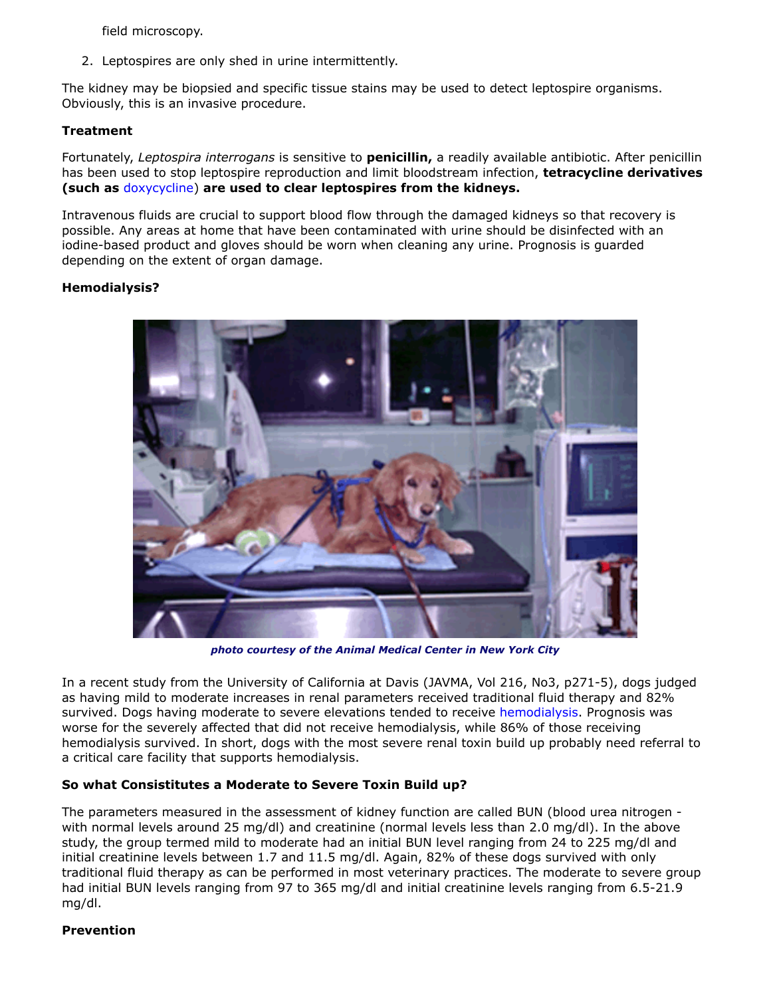field microscopy.

2. Leptospires are only shed in urine intermittently.

The kidney may be biopsied and specific tissue stains may be used to detect leptospire organisms. Obviously, this is an invasive procedure.

### **Treatment**

Fortunately, *Leptospira interrogans* is sensitive to **penicillin,** a readily available antibiotic. After penicillin has been used to stop leptospire reproduction and limit bloodstream infection, **tetracycline derivatives (such as** [doxycycline\)](http://www.veterinarypartner.com/Content.plx?P=A&A=642&S=&EVetID=0) **are used to clear leptospires from the kidneys.**

Intravenous fluids are crucial to support blood flow through the damaged kidneys so that recovery is possible. Any areas at home that have been contaminated with urine should be disinfected with an iodine-based product and gloves should be worn when cleaning any urine. Prognosis is guarded depending on the extent of organ damage.

# **Hemodialysis?**



*photo courtesy of the Animal Medical Center in New York City*

In a recent study from the University of California at Davis (JAVMA, Vol 216, No3, p271-5), dogs judged as having mild to moderate increases in renal parameters received traditional fluid therapy and 82% survived. Dogs having moderate to severe elevations tended to receive [hemodialysis.](http://www.veterinarypartner.com/Content.plx?P=A&A=1749&S=&EVetID=0) Prognosis was worse for the severely affected that did not receive hemodialysis, while 86% of those receiving hemodialysis survived. In short, dogs with the most severe renal toxin build up probably need referral to a critical care facility that supports hemodialysis.

# **So what Consistitutes a Moderate to Severe Toxin Build up?**

The parameters measured in the assessment of kidney function are called BUN (blood urea nitrogen with normal levels around 25 mg/dl) and creatinine (normal levels less than 2.0 mg/dl). In the above study, the group termed mild to moderate had an initial BUN level ranging from 24 to 225 mg/dl and initial creatinine levels between 1.7 and 11.5 mg/dl. Again, 82% of these dogs survived with only traditional fluid therapy as can be performed in most veterinary practices. The moderate to severe group had initial BUN levels ranging from 97 to 365 mg/dl and initial creatinine levels ranging from 6.5-21.9 mg/dl.

# **Prevention**